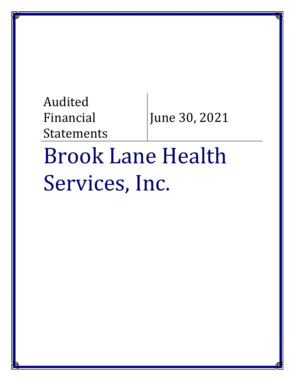# Audited Financial Statements June 30, 2021

# Brook Lane Health Services, Inc.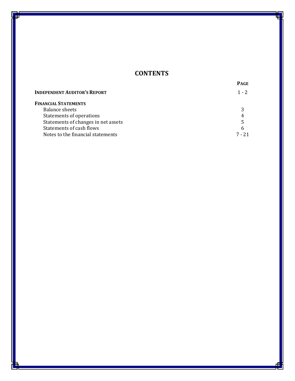# **CONTENTS**

|                                     | <b>PAGE</b> |
|-------------------------------------|-------------|
| <b>INDEPENDENT AUDITOR'S REPORT</b> | $1 - 2$     |
| <b>FINANCIAL STATEMENTS</b>         |             |
| Balance sheets                      |             |
| Statements of operations            | 4           |
| Statements of changes in net assets | 5           |
| Statements of cash flows            | 6           |
| Notes to the financial statements   |             |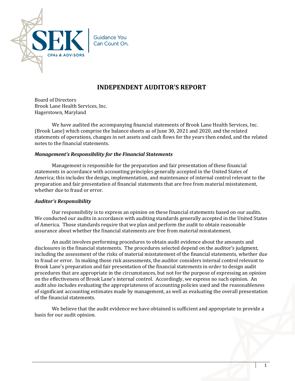

# **INDEPENDENT AUDITOR'S REPORT**

Board of Directors Brook Lane Health Services, Inc. Hagerstown, Maryland

We have audited the accompanying financial statements of Brook Lane Health Services, Inc. (Brook Lane) which comprise the balance sheets as of June 30, 2021 and 2020, and the related statements of operations, changes in net assets and cash flows for the years then ended, and the related notes to the financial statements.

#### *Management's Responsibility for the Financial Statements*

Management is responsible for the preparation and fair presentation of these financial statements in accordance with accounting principles generally accepted in the United States of America; this includes the design, implementation, and maintenance of internal control relevant to the preparation and fair presentation of financial statements that are free from material misstatement, whether due to fraud or error.

#### *Auditor's Responsibility*

Our responsibility is to express an opinion on these financial statements based on our audits. We conducted our audits in accordance with auditing standards generally accepted in the United States of America. Those standards require that we plan and perform the audit to obtain reasonable assurance about whether the financial statements are free from material misstatement.

An audit involves performing procedures to obtain audit evidence about the amounts and disclosures in the financial statements. The procedures selected depend on the auditor's judgment, including the assessment of the risks of material misstatement of the financial statements, whether due to fraud or error. In making those risk assessments, the auditor considers internal control relevant to Brook Lane's preparation and fair presentation of the financial statements in order to design audit procedures that are appropriate in the circumstances, but not for the purpose of expressing an opinion on the effectiveness of Brook Lane's internal control. Accordingly, we express no such opinion. An audit also includes evaluating the appropriateness of accounting policies used and the reasonableness of significant accounting estimates made by management, as well as evaluating the overall presentation of the financial statements.

We believe that the audit evidence we have obtained is sufficient and appropriate to provide a basis for our audit opinion.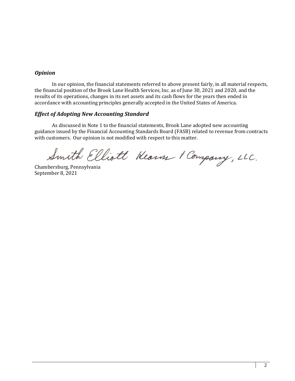#### *Opinion*

In our opinion, the financial statements referred to above present fairly, in all material respects, the financial position of the Brook Lane Health Services, Inc. as of June 30, 2021 and 2020, and the results of its operations, changes in its net assets and its cash flows for the years then ended in accordance with accounting principles generally accepted in the United States of America.

# *Effect of Adopting New Accounting Standard*

As discussed in Note 1 to the financial statements, Brook Lane adopted new accounting guidance issued by the Financial Accounting Standards Board (FASB) related to revenue from contracts with customers. Our opinion is not modified with respect to this matter.

Smith Elliott Kearn & Company, LLC.

September 8, 2021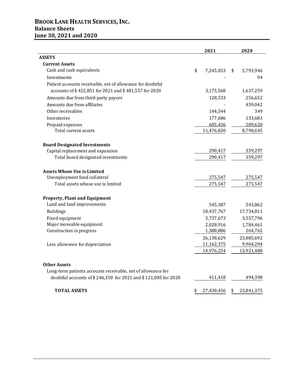# **BROOK LANE HEALTH SERVICES, INC. Balance Sheets June 30, 2021 and 2020**

|                                                                | 2021             | 2020             |
|----------------------------------------------------------------|------------------|------------------|
| <b>ASSETS</b>                                                  |                  |                  |
| <b>Current Assets</b>                                          |                  |                  |
| Cash and cash equivalents                                      | \$<br>7,245,053  | \$<br>5,793,946  |
| Investments                                                    |                  | 94               |
| Patient accounts receivable, net of allowance for doubtful     |                  |                  |
| accounts of \$422,851 for 2021 and \$481,557 for 2020          | 3,175,568        | 1,637,259        |
| Amounts due from third-party payors                            | 128,533          | 256,652          |
| Amounts due from affiliates                                    |                  | 459,042          |
| Other receivables                                              | 144,544          | 349              |
| Inventories                                                    | 177,686          | 133,683          |
| Prepaid expenses                                               | 605,436          | 509,620          |
| Total current assets                                           | 11,476,820       | 8,790,645        |
| <b>Board Designated Investments</b>                            |                  |                  |
| Capital replacement and expansion                              | 290,417          | 359,297          |
| Total board designated investments                             | 290,417          | 359,297          |
| <b>Assets Whose Use is Limited</b>                             |                  |                  |
| Unemployment fund collateral                                   | 275,547          | 275,547          |
| Total assets whose use is limited                              | 275,547          | 275,547          |
| <b>Property, Plant and Equipment</b>                           |                  |                  |
| Land and land improvements                                     | 545,387          | 543,862          |
| <b>Buildings</b>                                               | 18,437,767       | 17,734,811       |
| Fixed equipment                                                | 3,737,673        | 3,557,796        |
| Major moveable equipment                                       | 2,028,916        | 1,784,461        |
| Construction in progress                                       | 1,388,886        | 264,762          |
|                                                                | 26,138,629       | 23,885,692       |
| Less allowance for depreciation                                | 11,162,375       | 9,964,204        |
|                                                                | 14,976,254       | 13,921,488       |
| <b>Other Assets</b>                                            |                  |                  |
| Long-term patients accounts receivable, net of allowance for   |                  |                  |
| doubtful accounts of \$246,350 for 2021 and \$121,085 for 2020 | 411,418          | 494,398          |
| <b>TOTAL ASSETS</b>                                            | \$<br>27,430,456 | \$<br>23,841,375 |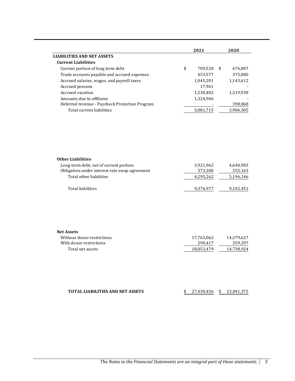|                                                | 2021 |           |    |           |
|------------------------------------------------|------|-----------|----|-----------|
| <b>LIABILITIES AND NET ASSETS</b>              |      |           |    |           |
| <b>Current Liabilities</b>                     |      |           |    |           |
| Current portion of long term debt              | \$   | 709.528   | -S | 676.807   |
| Trade accounts payable and accrued expenses    |      | 453,577   |    | 375,080   |
| Accrued salaries, wages, and payroll taxes     |      | 1,045,201 |    | 1,143,612 |
| Accrued pension                                |      | 17,961    |    |           |
| Accrued vacation                               |      | 1,530,482 |    | 1,319,938 |
| Amounts due to affiliates                      |      | 1,324,966 |    |           |
| Deferred revenue - Paycheck Protection Program |      |           |    | 390,868   |
| Total current liabilities                      |      | 5,081,715 |    | 3,906,305 |
|                                                |      |           |    |           |

| <b>Other Liabilities</b>                      |           |           |
|-----------------------------------------------|-----------|-----------|
| Long-term debt, net of current portion        | 3,921,962 | 4,640,983 |
| Obligation under interest rate swap agreement | 373,300   | 555,163   |
| Total other liabilities                       | 4,295,262 | 5,196,146 |
| Total liabilities                             | 9,376,977 | 9,102,451 |

| <b>Net Assets</b>          |            |            |
|----------------------------|------------|------------|
| Without donor restrictions | 17,763,062 | 14.379.627 |
| With donor restrictions    | 290.417    | 359.297    |
| Total net assets           | 18,053,479 | 14.738.924 |

| <b>TOTAL LIABILITIES AND NET ASSETS</b> | $$27,430,456$ $$23,841,375$ |  |
|-----------------------------------------|-----------------------------|--|
|                                         |                             |  |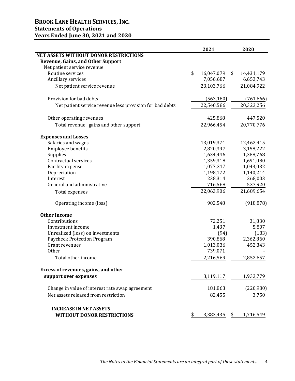|                                                          | 2021             | 2020             |
|----------------------------------------------------------|------------------|------------------|
| NET ASSETS WITHOUT DONOR RESTRICTIONS                    |                  |                  |
| <b>Revenue, Gains, and Other Support</b>                 |                  |                  |
| Net patient service revenue                              |                  |                  |
| Routine services                                         | \$<br>16,047,079 | \$<br>14,431,179 |
| Ancillary services                                       | 7,056,687        | 6,653,743        |
| Net patient service revenue                              | 23,103,766       | 21,084,922       |
| Provision for bad debts                                  | (563, 180)       | (761, 666)       |
| Net patient service revenue less provision for bad debts | 22,540,586       | 20,323,256       |
| Other operating revenues                                 | 425,868          | 447,520          |
| Total revenue, gains and other support                   | 22,966,454       | 20,770,776       |
| <b>Expenses and Losses</b>                               |                  |                  |
| Salaries and wages                                       | 13,019,374       | 12,462,415       |
| Employee benefits                                        | 2,820,397        | 3,158,222        |
| Supplies                                                 | 1,634,446        | 1,388,768        |
| Contractual services                                     | 1,359,318        | 1,691,080        |
| Facility expense                                         | 1,077,317        | 1,043,032        |
| Depreciation                                             | 1,198,172        | 1,140,214        |
| Interest                                                 | 238,314          | 268,003          |
| General and administrative                               | 716,568          | 537,920          |
| Total expenses                                           | 22,063,906       | 21,689,654       |
| Operating income (loss)                                  | 902,548          | (918, 878)       |
| <b>Other Income</b>                                      |                  |                  |
| Contributions                                            | 72,251           | 31,830           |
| Investment income                                        | 1,437            | 5,807            |
| Unrealized (loss) on investments                         | (94)             | (183)            |
| Paycheck Protection Program                              | 390,868          | 2,362,860        |
| Grant revenues                                           | 1,013,036        | 452,343          |
| Other                                                    | 739,071          |                  |
| Total other income                                       | 2,216,569        | 2,852,657        |
| Excess of revenues, gains, and other                     |                  |                  |
| support over expenses                                    | 3,119,117        | 1,933,779        |
| Change in value of interest rate swap agreement          | 181,863          | (220,980)        |
| Net assets released from restriction                     | 82,455           | 3,750            |
| <b>INCREASE IN NET ASSETS</b>                            |                  |                  |
| <b>WITHOUT DONOR RESTRICTIONS</b>                        | \$<br>3,383,435  | \$<br>1,716,549  |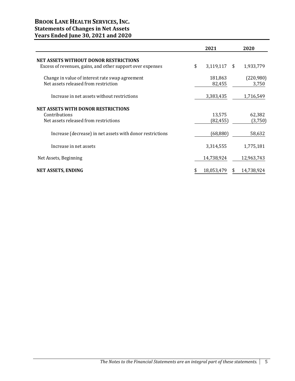# **BROOK LANE HEALTH SERVICES, INC. Statements of Changes in Net Assets Years Ended June 30, 2021 and 2020**

|                                                                                                            | 2021            | 2020            |
|------------------------------------------------------------------------------------------------------------|-----------------|-----------------|
| <b>NET ASSETS WITHOUT DONOR RESTRICTIONS</b><br>Excess of revenues, gains, and other support over expenses | \$<br>3,119,117 | \$<br>1,933,779 |
|                                                                                                            |                 |                 |
| Change in value of interest rate swap agreement                                                            | 181,863         | (220,980)       |
| Net assets released from restriction                                                                       | 82,455          | 3,750           |
| Increase in net assets without restrictions                                                                | 3,383,435       | 1,716,549       |
| <b>NET ASSETS WITH DONOR RESTRICTIONS</b>                                                                  |                 |                 |
| Contributions                                                                                              | 13,575          | 62,382          |
| Net assets released from restrictions                                                                      | (82, 455)       | (3,750)         |
| Increase (decrease) in net assets with donor restrictions                                                  | (68, 880)       | 58,632          |
| Increase in net assets                                                                                     | 3,314,555       | 1,775,181       |
| Net Assets, Beginning                                                                                      | 14,738,924      | 12,963,743      |
| <b>NET ASSETS, ENDING</b>                                                                                  | 18,053,479      | 14,738,924      |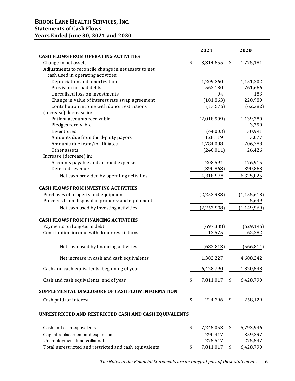# **BROOK LANE HEALTH SERVICES, INC. Statements of Cash Flows Years Ended June 30, 2021 and 2020**

|                                                        | 2021            | 2020            |
|--------------------------------------------------------|-----------------|-----------------|
| <b>CASH FLOWS FROM OPERATING ACTIVITIES</b>            |                 |                 |
| Change in net assets                                   | \$<br>3,314,555 | \$<br>1,775,181 |
| Adjustments to reconcile change in net assets to net   |                 |                 |
| cash used in operating activities:                     |                 |                 |
| Depreciation and amortization                          | 1,209,260       | 1,151,302       |
| Provision for bad debts                                | 563,180         | 761,666         |
| Unrealized loss on investments                         | 94              | 183             |
| Change in value of interest rate swap agreement        | (181, 863)      | 220,980         |
| Contribution income with donor restrictions            | (13, 575)       | (62, 382)       |
| (Increase) decrease in:                                |                 |                 |
| Patient accounts receivable                            | (2,018,509)     | 1,139,280       |
| Pledges receivable                                     |                 | 3,750           |
| Inventories                                            | (44,003)        | 30,991          |
| Amounts due from third-party payors                    | 128,119         | 3,077           |
| Amounts due from/to affiliates                         | 1,784,008       | 706,788         |
| Other assets                                           | (240, 011)      | 26,426          |
| Increase (decrease) in:                                |                 |                 |
| Accounts payable and accrued expenses                  | 208,591         | 176,915         |
| Deferred revenue                                       | (390, 868)      | 390,868         |
| Net cash provided by operating activities              | 4,318,978       | 6,325,025       |
| <b>CASH FLOWS FROM INVESTING ACTIVITIES</b>            |                 |                 |
| Purchases of property and equipment                    | (2, 252, 938)   | (1, 155, 618)   |
| Proceeds from disposal of property and equipment       |                 | 5,649           |
| Net cash used by investing activities                  | (2, 252, 938)   | (1, 149, 969)   |
| <b>CASH FLOWS FROM FINANCING ACTIVITIES</b>            |                 |                 |
| Payments on long-term debt                             | (697, 388)      | (629, 196)      |
| Contribution income with donor restrictions            | 13,575          | 62,382          |
| Net cash used by financing activities                  | (683, 813)      | (566, 814)      |
| Net increase in cash and cash equivalents              | 1,382,227       | 4,608,242       |
| Cash and cash equivalents, beginning of year           | 6,428,790       | 1,820,548       |
| Cash and cash equivalents, end of year                 | \$<br>7,811,017 | \$<br>6,428,790 |
| SUPPLEMENTAL DISCLOSURE OF CASH FLOW INFORMATION       |                 |                 |
| Cash paid for interest                                 | \$<br>224,296   | \$<br>258,129   |
| UNRESTRICTED AND RESTRICTED CASH AND CASH EQUIVALENTS  |                 |                 |
| Cash and cash equivalents                              | \$<br>7,245,053 | \$<br>5,793,946 |
| Capital replacement and expansion                      | 290,417         | 359,297         |
| Unemployment fund collateral                           | 275,547         | 275,547         |
| Total unrestricted and restricted and cash equivalents | \$<br>7,811,017 | \$<br>6,428,790 |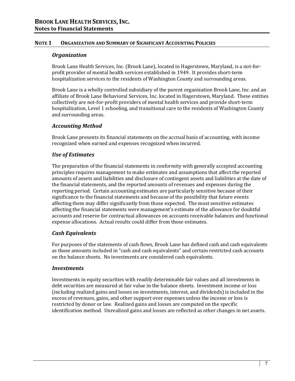#### *Organization*

Brook Lane Health Services, Inc. (Brook Lane), located in Hagerstown, Maryland, is a not-forprofit provider of mental health services established in 1949. It provides short-term hospitalization services to the residents of Washington County and surrounding areas.

Brook Lane is a wholly controlled subsidiary of the parent organization Brook Lane, Inc. and an affiliate of Brook Lane Behavioral Services, Inc. located in Hagerstown, Maryland. These entities collectively are not-for-profit providers of mental health services and provide short-term hospitalization, Level 1 schooling, and transitional care to the residents of Washington County and surrounding areas.

#### *Accounting Method*

Brook Lane presents its financial statements on the accrual basis of accounting, with income recognized when earned and expenses recognized when incurred.

# *Use of Estimates*

The preparation of the financial statements in conformity with generally accepted accounting principles requires management to make estimates and assumptions that affect the reported amounts of assets and liabilities and disclosure of contingent assets and liabilities at the date of the financial statements, and the reported amounts of revenues and expenses during the reporting period. Certain accounting estimates are particularly sensitive because of their significance to the financial statements and because of the possibility that future events affecting them may differ significantly from those expected. The most sensitive estimates affecting the financial statements were management's estimate of the allowance for doubtful accounts and reserve for contractual allowances on accounts receivable balances and functional expense allocations. Actual results could differ from those estimates.

# *Cash Equivalents*

For purposes of the statements of cash flows, Brook Lane has defined cash and cash equivalents as those amounts included in "cash and cash equivalents" and certain restricted cash accounts on the balance sheets. No investments are considered cash equivalents.

#### *Investments*

Investments in equity securities with readily determinable fair values and all investments in debt securities are measured at fair value in the balance sheets. Investment income or loss (including realized gains and losses on investments, interest, and dividends) is included in the excess of revenues, gains, and other support over expenses unless the income or loss is restricted by donor or law. Realized gains and losses are computed on the specific identification method. Unrealized gains and losses are reflected as other changes in net assets.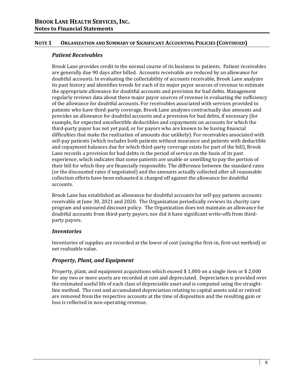# *Patient Receivables*

Brook Lane provides credit in the normal course of its business to patients. Patient receivables are generally due 90 days after billed. Accounts receivable are reduced by an allowance for doubtful accounts. In evaluating the collectability of accounts receivable, Brook Lane analyzes its past history and identifies trends for each of its major payor sources of revenue to estimate the appropriate allowance for doubtful accounts and provision for bad debts. Management regularly reviews data about these major payor sources of revenue in evaluating the sufficiency of the allowance for doubtful accounts. For receivables associated with services provided to patients who have third-party coverage, Brook Lane analyzes contractually due amounts and provides an allowance for doubtful accounts and a provision for bad debts, if necessary (for example, for expected uncollectible deductibles and copayments on accounts for which the third-party payor has not yet paid, or for payors who are known to be having financial difficulties that make the realization of amounts due unlikely). For receivables associated with self-pay patients (which includes both patients without insurance and patients with deductible and copayment balances due for which third-party coverage exists for part of the bill), Brook Lane records a provision for bad debts in the period of service on the basis of its past experience, which indicates that some patients are unable or unwilling to pay the portion of their bill for which they are financially responsible. The difference between the standard rates (or the discounted rates if negotiated) and the amounts actually collected after all reasonable collection efforts have been exhausted is charged off against the allowance for doubtful accounts.

Brook Lane has established an allowance for doubtful accounts for self-pay patients accounts receivable at June 30, 2021 and 2020. The Organization periodically reviews its charity care program and uninsured discount policy. The Organization does not maintain an allowance for doubtful accounts from third-party payors, nor did it have significant write-offs from thirdparty payors.

# *Inventories*

Inventories of supplies are recorded at the lower of cost (using the first-in, first-out method) or net realizable value.

# *Property, Plant, and Equipment*

Property, plant, and equipment acquisitions which exceed \$ 1,000 on a single item or \$ 2,000 for any two or more assets are recorded at cost and depreciated. Depreciation is provided over the estimated useful life of each class of depreciable asset and is computed using the straightline method. The cost and accumulated depreciation relating to capital assets sold or retired are removed from the respective accounts at the time of disposition and the resulting gain or loss is reflected in non-operating revenue.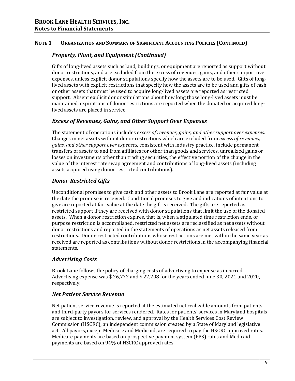# *Property, Plant, and Equipment (Continued)*

Gifts of long-lived assets such as land, buildings, or equipment are reported as support without donor restrictions, and are excluded from the excess of revenues, gains, and other support over expenses, unless explicit donor stipulations specify how the assets are to be used. Gifts of longlived assets with explicit restrictions that specify how the assets are to be used and gifts of cash or other assets that must be used to acquire long-lived assets are reported as restricted support. Absent explicit donor stipulations about how long those long-lived assets must be maintained, expirations of donor restrictions are reported when the donated or acquired longlived assets are placed in service.

# *Excess of Revenues, Gains, and Other Support Over Expenses*

The statement of operations includes *excess of revenues, gains, and other support over expenses.* Changes in net assets without donor restrictions which are excluded from *excess of revenues, gains, and other support over expenses,* consistent with industry practice, include permanent transfers of assets to and from affiliates for other than goods and services, unrealized gains or losses on investments other than trading securities, the effective portion of the change in the value of the interest rate swap agreement and contributions of long-lived assets (including assets acquired using donor restricted contributions).

# *Donor‐Restricted Gifts*

Unconditional promises to give cash and other assets to Brook Lane are reported at fair value at the date the promise is received. Conditional promises to give and indications of intentions to give are reported at fair value at the date the gift is received. The gifts are reported as restricted support if they are received with donor stipulations that limit the use of the donated assets. When a donor restriction expires, that is, when a stipulated time restriction ends, or purpose restriction is accomplished, restricted net assets are reclassified as net assets without donor restrictions and reported in the statements of operations as net assets released from restrictions. Donor-restricted contributions whose restrictions are met within the same year as received are reported as contributions without donor restrictions in the accompanying financial statements.

# *Advertising Costs*

Brook Lane follows the policy of charging costs of advertising to expense as incurred. Advertising expense was \$ 26,772 and \$ 22,208 for the years ended June 30, 2021 and 2020, respectively.

# *Net Patient Service Revenue*

Net patient service revenue is reported at the estimated net realizable amounts from patients and third-party payors for services rendered. Rates for patients' services in Maryland hospitals are subject to investigation, review, and approval by the Health Services Cost Review Commission (HSCRC), an independent commission created by a State of Maryland legislative act. All payors, except Medicare and Medicaid, are required to pay the HSCRC approved rates. Medicare payments are based on prospective payment system (PPS) rates and Medicaid payments are based on 94% of HSCRC approved rates.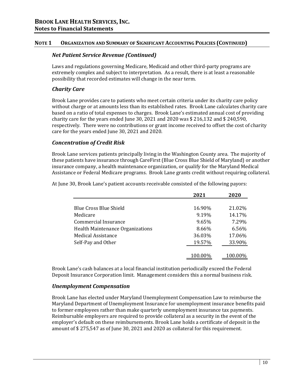#### *Net Patient Service Revenue (Continued)*

Laws and regulations governing Medicare, Medicaid and other third-party programs are extremely complex and subject to interpretation. As a result, there is at least a reasonable possibility that recorded estimates will change in the near term.

# *Charity Care*

Brook Lane provides care to patients who meet certain criteria under its charity care policy without charge or at amounts less than its established rates. Brook Lane calculates charity care based on a ratio of total expenses to charges. Brook Lane's estimated annual cost of providing charity care for the years ended June 30, 2021 and 2020 was \$ 216,132 and \$ 240,590, respectively. There were no contributions or grant income received to offset the cost of charity care for the years ended June 30, 2021 and 2020.

# *Concentration of Credit Risk*

Brook Lane services patients principally living in the Washington County area. The majority of these patients have insurance through CareFirst (Blue Cross Blue Shield of Maryland) or another insurance company, a health maintenance organization, or qualify for the Maryland Medical Assistance or Federal Medicare programs. Brook Lane grants credit without requiring collateral.

**2021 2020** Blue Cross Blue Shield 16.90% 21.02% Medicare 9.19% 14.17% Commercial Insurance 9.65% 7.29% Health Maintenance Organizations **8.66%** 6.56% Medical Assistance 36.03% 17.06% Self-Pay and Other 19.57% 33.90% 100.00% 100.00%

At June 30, Brook Lane's patient accounts receivable consisted of the following payors:

Brook Lane's cash balances at a local financial institution periodically exceed the Federal Deposit Insurance Corporation limit. Management considers this a normal business risk.

#### *Unemployment Compensation*

Brook Lane has elected under Maryland Unemployment Compensation Law to reimburse the Maryland Department of Unemployment Insurance for unemployment insurance benefits paid to former employees rather than make quarterly unemployment insurance tax payments. Reimbursable employers are required to provide collateral as a security in the event of the employer's default on these reimbursements. Brook Lane holds a certificate of deposit in the amount of \$ 275,547 as of June 30, 2021 and 2020 as collateral for this requirement.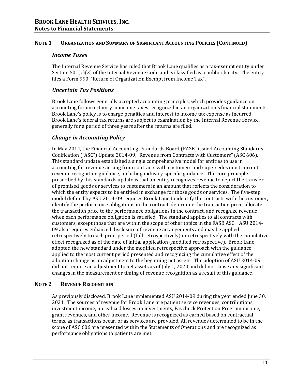#### *Income Taxes*

The Internal Revenue Service has ruled that Brook Lane qualifies as a tax-exempt entity under Section  $501(c)(3)$  of the Internal Revenue Code and is classified as a public charity. The entity files a Form 990, "Return of Organization Exempt from Income Tax".

# *Uncertain Tax Positions*

Brook Lane follows generally accepted accounting principles, which provides guidance on accounting for uncertainty in income taxes recognized in an organization's financial statements. Brook Lane's policy is to charge penalties and interest to income tax expense as incurred. Brook Lane's federal tax returns are subject to examination by the Internal Revenue Service, generally for a period of three years after the returns are filed.

# *Change in Accounting Policy*

In May 2014, the Financial Accountings Standards Board (FASB) issued Accounting Standards Codification ("ASC") Update 2014-09, "Revenue from Contracts with Customers" (ASC 606). This standard update established a single comprehensive model for entities to use in accounting for revenue arising from contracts with customers and supersedes most current revenue recognition guidance, including industry-specific guidance. The core principle prescribed by this standards update is that an entity recognizes revenue to depict the transfer of promised goods or services to customers in an amount that reflects the consideration to which the entity expects to be entitled in exchange for those goods or services. The five-step model defined by ASU 2014-09 requires Brook Lane to identify the contracts with the customer, identify the performance obligations in the contract, determine the transaction price, allocate the transaction price to the performance obligations in the contract, and recognize revenue when each performance obligation is satisfied. The standard applies to all contracts with customers, except those that are within the scope of other topics in the FASB ASC. ASU 2014- 09 also requires enhanced disclosure of revenue arrangements and may be applied retrospectively to each prior period (full retrospectively) or retrospectively with the cumulative effect recognized as of the date of initial application (modified retrospective). Brook Lane adopted the new standard under the modified retrospective approach with the guidance applied to the most current period presented and recognizing the cumulative effect of the adoption change as an adjustment to the beginning net assets. The adoption of ASU 2014-09 did not require an adjustment to net assets as of July 1, 2020 and did not cause any significant changes in the measurement or timing of revenue recognition as a result of this guidance.

#### **NOTE 2 REVENUE RECOGNITION**

As previously disclosed, Brook Lane implemented ASU 2014-09 during the year ended June 30, 2021. The sources of revenue for Brook Lane are patient service revenues, contributions, investment income, unrealized losses on investments, Paycheck Protection Program income, grant revenues, and other income. Revenue is recognized as earned based on contractual terms, as transactions occur, or as services are provided. All revenues determined to be in the scope of ASC 606 are presented within the Statements of Operations and are recognized as performance obligations to patients are met.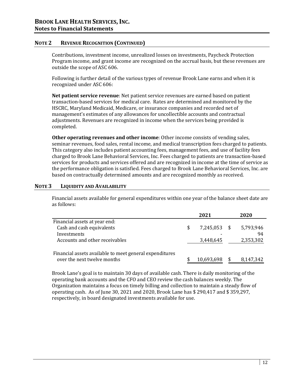# **NOTE 2 REVENUE RECOGNITION (CONTINUED)**

Contributions, investment income, unrealized losses on investments, Paycheck Protection Program income, and grant income are recognized on the accrual basis, but these revenues are outside the scope of ASC 606.

Following is further detail of the various types of revenue Brook Lane earns and when it is recognized under ASC 606:

**Net patient service revenue**: Net patient service revenues are earned based on patient transaction-based services for medical care. Rates are determined and monitored by the HSCRC, Maryland Medicaid, Medicare, or insurance companies and recorded net of management's estimates of any allowances for uncollectible accounts and contractual adjustments. Revenues are recognized in income when the services being provided is completed.

**Other operating revenues and other income**: Other income consists of vending sales, seminar revenues, food sales, rental income, and medical transcription fees charged to patients. This category also includes patient accounting fees, management fees, and use of facility fees charged to Brook Lane Behavioral Services, Inc. Fees charged to patients are transaction-based services for products and services offered and are recognized in income at the time of service as the performance obligation is satisfied. Fees charged to Brook Lane Behavioral Services, Inc. are based on contractually determined amounts and are recognized monthly as received.

#### **NOTE 3 LIQUIDITY AND AVAILABILITY**

Financial assets available for general expenditures within one year of the balance sheet date are as follows:

|                                                            |   | 2021         | 2020      |
|------------------------------------------------------------|---|--------------|-----------|
| Financial assets at year end:<br>Cash and cash equivalents | S | 7,245,053 \$ | 5,793,946 |
| Investments                                                |   |              | 94        |
| Accounts and other receivables                             |   | 3,448,645    | 2,353,302 |
| Financial assets available to meet general expenditures    |   |              |           |
| over the next twelve months                                |   | 10,693,698   | 8,147,342 |

Brook Lane's goal is to maintain 30 days of available cash. There is daily monitoring of the operating bank accounts and the CFO and CEO review the cash balances weekly. The Organization maintains a focus on timely billing and collection to maintain a steady flow of operating cash. As of June 30, 2021 and 2020, Brook Lane has \$ 290,417 and \$ 359,297, respectively, in board designated investments available for use.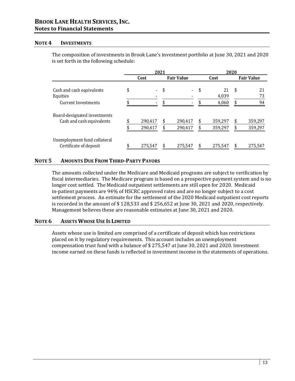#### **NOTE 4 INVESTMENTS**

The composition of investments in Brook Lane's investment portfolio at June 30, 2021 and 2020 is set forth in the following schedule:

|                                                                     |          | 2021               |                   |                    |          |                      | 2020     |                    |  |  |                   |
|---------------------------------------------------------------------|----------|--------------------|-------------------|--------------------|----------|----------------------|----------|--------------------|--|--|-------------------|
|                                                                     |          | Cost               | <b>Fair Value</b> |                    | Cost     |                      |          |                    |  |  | <b>Fair Value</b> |
| Cash and cash equivalents<br>Equities<br><b>Current Investments</b> | \$<br>\$ | ÷.<br>۰            | \$<br>\$          |                    | \$<br>\$ | 21<br>4,039<br>4,060 | \$<br>\$ | 21<br>73<br>94     |  |  |                   |
| Board-designated investments<br>Cash and cash equivalents           |          | 290,417<br>290,417 | S                 | 290,417<br>290,417 | \$<br>\$ | 359,297<br>359,297   | \$<br>\$ | 359,297<br>359,297 |  |  |                   |
| Unemployment fund collateral<br>Certificate of deposit              |          | 275,547            | S                 | 275,547            |          | 275,547              | \$       | 275,547            |  |  |                   |

# **NOTE 5 AMOUNTS DUE FROM THIRD‐PARTY PAYORS**

The amounts collected under the Medicare and Medicaid programs are subject to verification by fiscal intermediaries. The Medicare program is based on a prospective payment system and is no longer cost settled. The Medicaid outpatient settlements are still open for 2020. Medicaid in-patient payments are 94% of HSCRC approved rates and are no longer subject to a cost settlement process. An estimate for the settlement of the 2020 Medicaid outpatient cost reports is recorded in the amount of \$ 128,533 and \$ 256,652 at June 30, 2021 and 2020, respectively. Management believes these are reasonable estimates at June 30, 2021 and 2020.

#### **NOTE 6 ASSETS WHOSE USE IS LIMITED**

Assets whose use is limited are comprised of a certificate of deposit which has restrictions placed on it by regulatory requirements. This account includes an unemployment compensation trust fund with a balance of \$ 275,547 at June 30, 2021 and 2020. Investment income earned on these funds is reflected in investment income in the statements of operations.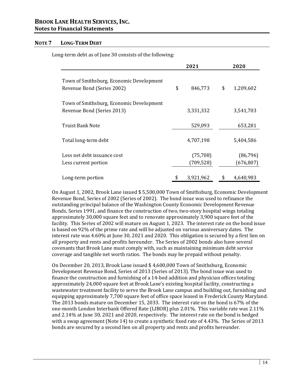#### **NOTE 7 LONG‐TERM DEBT**

Long-term debt as of June 30 consists of the following:

|                                                                        | 2021                    | 2020 |                         |  |  |
|------------------------------------------------------------------------|-------------------------|------|-------------------------|--|--|
| Town of Smithsburg, Economic Development<br>Revenue Bond (Series 2002) | \$<br>846,773           | \$   | 1,209,602               |  |  |
| Town of Smithsburg, Economic Development<br>Revenue Bond (Series 2013) | 3,331,332               |      | 3,541,703               |  |  |
| Truist Bank Note                                                       | 529,093                 |      | 653,281                 |  |  |
| Total long-term debt                                                   | 4,707,198               |      | 5,404,586               |  |  |
| Less net debt issuance cost<br>Less current portion                    | (75, 708)<br>(709, 528) |      | (86, 796)<br>(676, 807) |  |  |
| Long-term portion                                                      | 3,921,962               |      | 4,640,983               |  |  |

On August 1, 2002, Brook Lane issued \$ 5,500,000 Town of Smithsburg, Economic Development Revenue Bond, Series of 2002 (Series of 2002). The bond issue was used to refinance the outstanding principal balance of the Washington County Economic Development Revenue Bonds, Series 1991, and finance the construction of two, two-story hospital wings totaling approximately 30,000 square feet and to renovate approximately 3,900 square feet of the facility. This Series of 2002 will mature on August 1, 2023. The interest rate on the bond issue is based on 92% of the prime rate and will be adjusted on various anniversary dates. The interest rate was 4.60% at June 30, 2021 and 2020. This obligation is secured by a first lien on all property and rents and profits hereunder. The Series of 2002 bonds also have several covenants that Brook Lane must comply with, such as maintaining minimum debt service coverage and tangible net worth ratios. The bonds may be prepaid without penalty.

On December 20, 2013, Brook Lane issued \$ 4,600,000 Town of Smithsburg, Economic Development Revenue Bond, Series of 2013 (Series of 2013). The bond issue was used to finance the construction and furnishing of a 14-bed addition and physician offices totaling approximately 24,000 square feet at Brook Lane's existing hospital facility, constructing a wastewater treatment facility to serve the Brook Lane campus and building out, furnishing and equipping approximately 7,700 square feet of office space leased in Frederick County Maryland. The 2013 bonds mature on December 15, 2033. The interest rate on the bond is 67% of the one-month London Interbank Offered Rate (LIBOR) plus 2.01%. This variable rate was 2.11% and 2.14% at June 30, 2021 and 2020, respectively. The interest rate on the bond is hedged with a swap agreement (Note 14) to create a synthetic fixed rate of 4.43%. The Series of 2013 bonds are secured by a second lien on all property and rents and profits hereunder.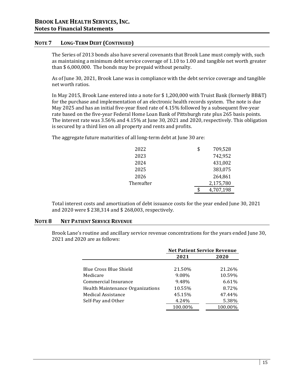#### **NOTE 7 LONG‐TERM DEBT (CONTINUED)**

The Series of 2013 bonds also have several covenants that Brook Lane must comply with, such as maintaining a minimum debt service coverage of 1.10 to 1.00 and tangible net worth greater than \$ 6,000,000. The bonds may be prepaid without penalty.

As of June 30, 2021, Brook Lane was in compliance with the debt service coverage and tangible net worth ratios.

In May 2015, Brook Lane entered into a note for \$ 1,200,000 with Truist Bank (formerly BB&T) for the purchase and implementation of an electronic health records system. The note is due May 2025 and has an initial five-year fixed rate of 4.15% followed by a subsequent five-year rate based on the five-year Federal Home Loan Bank of Pittsburgh rate plus 265 basis points. The interest rate was 3.56% and 4.15% at June 30, 2021 and 2020, respectively. This obligation is secured by a third lien on all property and rents and profits.

The aggregate future maturities of all long-term debt at June 30 are:

| 2022       | \$<br>709,528 |
|------------|---------------|
| 2023       | 742,952       |
| 2024       | 431,002       |
| 2025       | 383,075       |
| 2026       | 264,861       |
| Thereafter | 2,175,780     |
|            | 4,707,198     |

Total interest costs and amortization of debt issuance costs for the year ended June 30, 2021 and 2020 were \$ 238,314 and \$ 268,003, respectively.

#### **NOTE 8 NET PATIENT SERVICE REVENUE**

Brook Lane's routine and ancillary service revenue concentrations for the years ended June 30, 2021 and 2020 are as follows:

|                                  | <b>Net Patient Service Revenue</b> |         |  |  |
|----------------------------------|------------------------------------|---------|--|--|
|                                  | 2021                               | 2020    |  |  |
|                                  |                                    |         |  |  |
| Blue Cross Blue Shield           | 21.50%                             | 21.26%  |  |  |
| Medicare                         | 9.08%                              | 10.59%  |  |  |
| Commercial Insurance             | 9.48%                              | 6.61%   |  |  |
| Health Maintenance Organizations | 10.55%                             | 8.72%   |  |  |
| <b>Medical Assistance</b>        | 45.15%                             | 47.44%  |  |  |
| Self-Pay and Other               | 4.24%                              | 5.38%   |  |  |
|                                  | 100.00%                            | 100.00% |  |  |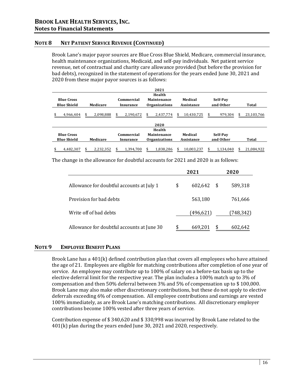#### **NOTE 8 NET PATIENT SERVICE REVENUE (CONTINUED)**

Brook Lane's major payor sources are Blue Cross Blue Shield, Medicare, commercial insurance, health maintenance organizations, Medicaid, and self-pay individuals. Net patient service revenue, net of contractual and charity care allowance provided (but before the provision for bad debts), recognized in the statement of operations for the years ended June 30, 2021 and 2020 from these major payor sources is as follows:

|                    |           |                  | 2021                 |            |               |                 |
|--------------------|-----------|------------------|----------------------|------------|---------------|-----------------|
|                    |           |                  | <b>Health</b>        |            |               |                 |
| <b>Blue Cross</b>  |           | Commercial       | Maintenance          | Medical    | Self-Pav      |                 |
| <b>Blue Shield</b> | Medicare  | <b>Insurance</b> | <b>Organizations</b> | Assistance | and Other     | Total           |
| 4.966.404          | 2,098,888 | 2,190,672        | 2.437.774            | 10,430,725 | 979.304<br>\$ | 23,103,766<br>S |
|                    |           |                  | 2020                 |            |               |                 |
|                    |           |                  | Health               |            |               |                 |
| <b>Blue Cross</b>  |           | Commercial       | Maintenance          | Medical    | Self-Pay      |                 |
| <b>Blue Shield</b> | Medicare  | <b>Insurance</b> | <b>Organizations</b> | Assistance | and Other     | Total           |
| 4,482,307          | 2,232,352 | 1,394,700        | 1,838,286            | 10,003,237 | 1,134,040     | 21,084,922      |

The change in the allowance for doubtful accounts for 2021 and 2020 is as follows:

|                                            | 2021 |           |     | 2020      |  |  |
|--------------------------------------------|------|-----------|-----|-----------|--|--|
| Allowance for doubtful accounts at July 1  | \$   | 602,642   | -\$ | 589,318   |  |  |
| Provision for bad debts                    |      | 563,180   |     | 761,666   |  |  |
| Write off of bad debts                     |      | (496,621) |     | (748,342) |  |  |
| Allowance for doubtful accounts at June 30 |      | 669,201   |     | 602,642   |  |  |

#### **NOTE 9 EMPLOYEE BENEFIT PLANS**

Brook Lane has a 401(k) defined contribution plan that covers all employees who have attained the age of 21. Employees are eligible for matching contributions after completion of one year of service. An employee may contribute up to 100% of salary on a before-tax basis up to the elective deferral limit for the respective year. The plan includes a 100% match up to 3% of compensation and then 50% deferral between 3% and 5% of compensation up to \$ 100,000. Brook Lane may also make other discretionary contributions, but these do not apply to elective deferrals exceeding 6% of compensation. All employee contributions and earnings are vested 100% immediately, as are Brook Lane's matching contributions. All discretionary employer contributions become 100% vested after three years of service.

Contribution expense of \$ 340,620 and \$ 330,998 was incurred by Brook Lane related to the 401(k) plan during the years ended June 30, 2021 and 2020, respectively.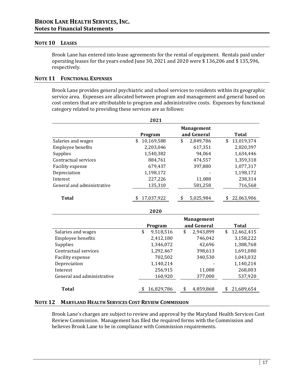#### **NOTE 10 LEASES**

Brook Lane has entered into lease agreements for the rental of equipment. Rentals paid under operating leases for the years ended June 30, 2021 and 2020 were \$ 136,206 and \$ 135,596, respectively.

#### **NOTE 11 FUNCTIONAL EXPENSES**

Brook Lane provides general psychiatric and school services to residents within its geographic service area. Expenses are allocated between program and management and general based on cost centers that are attributable to program and administrative costs. Expenses by functional category related to providing these services are as follows:

|                            | 2021             |                   |    |              |
|----------------------------|------------------|-------------------|----|--------------|
|                            |                  | <b>Management</b> |    |              |
|                            | Program          | and General       |    | <b>Total</b> |
| Salaries and wages         | \$<br>10,169,588 | \$<br>2,849,786   | \$ | 13,019,374   |
| Employee benefits          | 2,203,046        | 617,351           |    | 2,820,397    |
| Supplies                   | 1,540,382        | 94,064            |    | 1,634,446    |
| Contractual services       | 884,761          | 474,557           |    | 1,359,318    |
| Facility expense           | 679,437          | 397,880           |    | 1,077,317    |
| Depreciation               | 1,198,172        |                   |    | 1,198,172    |
| Interest                   | 227,226          | 11,088            |    | 238,314      |
| General and administrative | 135,310          | 581,258           |    | 716,568      |
| <b>Total</b>               | 17,037,922       | \$<br>5,025,984   |    | 22,063,906   |
|                            | 2020             |                   |    |              |
|                            |                  | <b>Management</b> |    |              |
|                            | Program          | and General       |    | <b>Total</b> |
| Salaries and wages         | \$<br>9,518,516  | \$<br>2,943,899   | \$ | 12,462,415   |
| Employee benefits          | 2,412,180        | 746,042           |    | 3,158,222    |
| Supplies                   | 1,346,072        | 42,696            |    | 1,388,768    |
| Contractual services       | 1,292,467        | 398,613           |    | 1,691,080    |
| Facility expense           | 702,502          | 340,530           |    | 1,043,032    |
| Depreciation               | 1,140,214        |                   |    | 1,140,214    |
| Interest                   | 256,915          | 11,088            |    | 268,003      |
| General and administrative | 160,920          | 377,000           |    | 537,920      |
| <b>Total</b>               | 16,829,786       | \$<br>4,859,868   | S  | 21,689,654   |

#### **NOTE 12 MARYLAND HEALTH SERVICES COST REVIEW COMMISSION**

Brook Lane's charges are subject to review and approval by the Maryland Health Services Cost Review Commission. Management has filed the required forms with the Commission and believes Brook Lane to be in compliance with Commission requirements.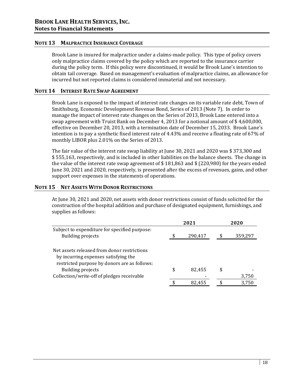#### **NOTE 13 MALPRACTICE INSURANCE COVERAGE**

Brook Lane is insured for malpractice under a claims-made policy. This type of policy covers only malpractice claims covered by the policy which are reported to the insurance carrier during the policy term. If this policy were discontinued, it would be Brook Lane's intention to obtain tail coverage. Based on management's evaluation of malpractice claims, an allowance for incurred but not reported claims is considered immaterial and not necessary.

#### **NOTE 14 INTEREST RATE SWAP AGREEMENT**

Brook Lane is exposed to the impact of interest rate changes on its variable rate debt, Town of Smithsburg, Economic Development Revenue Bond, Series of 2013 (Note 7). In order to manage the impact of interest rate changes on the Series of 2013, Brook Lane entered into a swap agreement with Truist Bank on December 4, 2013 for a notional amount of \$ 4,600,000, effective on December 20, 2013, with a termination date of December 15, 2033. Brook Lane's intention is to pay a synthetic fixed interest rate of 4.43% and receive a floating rate of 67% of monthly LIBOR plus 2.01% on the Series of 2013.

The fair value of the interest rate swap liability at June 30, 2021 and 2020 was \$ 373,300 and \$ 555,163, respectively, and is included in other liabilities on the balance sheets. The change in the value of the interest rate swap agreement of \$ 181,863 and \$ (220,980) for the years ended June 30, 2021 and 2020, respectively, is presented after the excess of revenues, gains, and other support over expenses in the statements of operations.

#### **NOTE 15 NET ASSETS WITH DONOR RESTRICTIONS**

At June 30, 2021 and 2020, net assets with donor restrictions consist of funds solicited for the construction of the hospital addition and purchase of designated equipment, furnishings, and supplies as follows:

|                                                                                     | 2021          |   | 2020    |
|-------------------------------------------------------------------------------------|---------------|---|---------|
| Subject to expenditure for specified purpose:<br>Building projects                  | \$<br>290,417 |   | 359,297 |
| Net assets released from donor restrictions<br>by incurring expenses satisfying the |               |   |         |
| restricted purpose by donors are as follows:<br>Building projects                   | \$<br>82.455  | S |         |
| Collection/write-off of pledges receivable                                          |               |   | 3,750   |
|                                                                                     | 82,455        |   | 3,750   |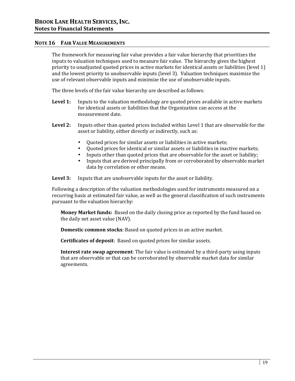#### **NOTE 16 FAIR VALUE MEASUREMENTS**

The framework for measuring fair value provides a fair value hierarchy that prioritizes the inputs to valuation techniques used to measure fair value. The hierarchy gives the highest priority to unadjusted quoted prices in active markets for identical assets or liabilities (level 1) and the lowest priority to unobservable inputs (level 3). Valuation techniques maximize the use of relevant observable inputs and minimize the use of unobservable inputs.

The three levels of the fair value hierarchy are described as follows:

- **Level 1:** Inputs to the valuation methodology are quoted prices available in active markets for identical assets or liabilities that the Organization can access at the measurement date.
- **Level 2:** Inputs other than quoted prices included within Level 1 that are observable for the asset or liability, either directly or indirectly, such as:
	- Quoted prices for similar assets or liabilities in active markets;
	- Quoted prices for identical or similar assets or liabilities in inactive markets;
	- Inputs other than quoted prices that are observable for the asset or liability;
	- Inputs that are derived principally from or corroborated by observable market data by correlation or other means.

**Level 3:** Inputs that are unobservable inputs for the asset or liability.

Following a description of the valuation methodologies used for instruments measured on a recurring basis at estimated fair value, as well as the general classification of such instruments pursuant to the valuation hierarchy:

**Money Market funds:** Based on the daily closing price as reported by the fund based on the daily net asset value (NAV).

**Domestic common stocks**: Based on quoted prices in an active market.

**Certificates of deposit**: Based on quoted prices for similar assets.

**Interest rate swap agreement**: The fair value is estimated by a third-party using inputs that are observable or that can be corroborated by observable market data for similar agreements.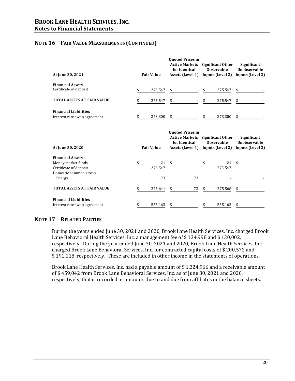#### **NOTE 16 FAIR VALUE MEASUREMENTS (CONTINUED)**

|                                                                         | <b>Fair Value</b>   | <b>Ouoted Prices in</b><br><b>Active Markets</b><br>for Identical<br>Assets (Level 1) | <b>Significant Other</b><br>Observable<br>Inputs (Level 2) | Significant<br>Unobservable<br>Inputs (Level 3) |  |
|-------------------------------------------------------------------------|---------------------|---------------------------------------------------------------------------------------|------------------------------------------------------------|-------------------------------------------------|--|
| At June 30, 2021                                                        |                     |                                                                                       |                                                            |                                                 |  |
| <b>Financial Assets</b><br>Certificate of deposit                       | \$<br>275,547       | \$                                                                                    | 275,547                                                    | \$                                              |  |
| <b>TOTAL ASSETS AT FAIR VALUE</b>                                       | 275,547             | \$                                                                                    | 275,547                                                    | \$                                              |  |
| <b>Financial Liabilities</b>                                            |                     |                                                                                       |                                                            |                                                 |  |
| Interest rate swap agreement                                            | 373,300             | \$                                                                                    | 373,300                                                    | \$                                              |  |
|                                                                         |                     | <b>Ouoted Prices in</b>                                                               |                                                            |                                                 |  |
|                                                                         | <b>Fair Value</b>   | <b>Active Markets</b> Significant Other<br>for Identical                              | <b>Observable</b>                                          | Significant<br>Unobservable                     |  |
| At June 30, 2020                                                        |                     | Assets (Level 1) Inputs (Level 2)                                                     |                                                            | Inputs (Level 3)                                |  |
| <b>Financial Assets</b><br>Money market funds<br>Certificate of deposit | \$<br>21<br>275,547 | \$                                                                                    | \$<br>21<br>275,547                                        | \$                                              |  |
| Domestic common stocks:<br>Energy                                       | 73                  | 73                                                                                    |                                                            |                                                 |  |
| <b>TOTAL ASSETS AT FAIR VALUE</b>                                       | \$<br>275,641       | 73<br>\$                                                                              | \$<br>275,568                                              | \$                                              |  |
| <b>Financial Liabilities</b><br>Interest rate swap agreement            | 555,163             | \$                                                                                    | 555,163                                                    | \$                                              |  |

#### **NOTE 17 RELATED PARTIES**

During the years ended June 30, 2021 and 2020, Brook Lane Health Services, Inc. charged Brook Lane Behavioral Health Services, Inc. a management fee of \$134,998 and \$130,002, respectively. During the year ended June 30, 2021 and 2020, Brook Lane Health Services, Inc. charged Brook Lane Behavioral Services, Inc. for contracted capital costs of \$ 200,572 and \$ 191,118, respectively. These are included in other income in the statements of operations.

Brook Lane Health Services, Inc. had a payable amount of \$ 1,324,966 and a receivable amount of \$ 459,042 from Brook Lane Behavioral Services, Inc. as of June 30, 2021 and 2020, respectively, that is recorded as amounts due to and due from affiliates in the balance sheets.